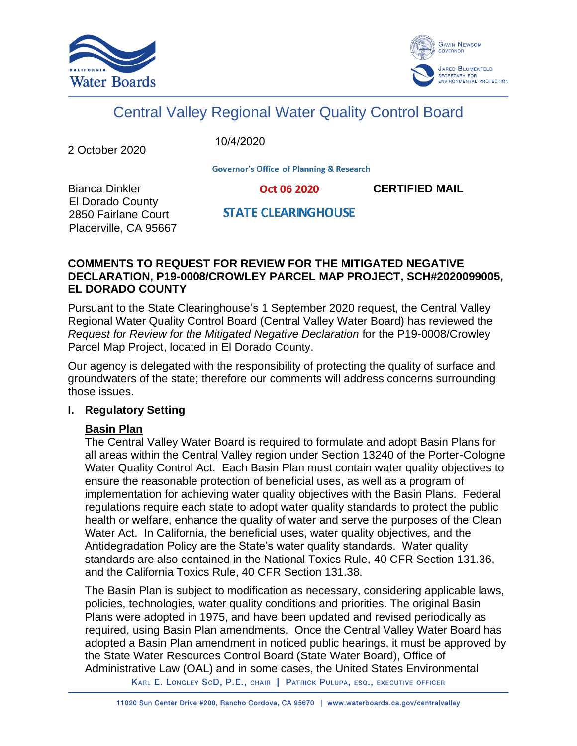



# Central Valley Regional Water Quality Control Board

2 October 2020

10/4/2020

**Governor's Office of Planning & Research** 

Bianca Dinkler **CERTIFIED MAIL** El Dorado County 2850 Fairlane Court Placerville, CA 95667

# **STATE CLEARINGHOUSE**

#### **COMMENTS TO REQUEST FOR REVIEW FOR THE MITIGATED NEGATIVE DECLARATION, P19-0008/CROWLEY PARCEL MAP PROJECT, SCH#2020099005, EL DORADO COUNTY**

Pursuant to the State Clearinghouse's 1 September 2020 request, the Central Valley Regional Water Quality Control Board (Central Valley Water Board) has reviewed the *Request for Review for the Mitigated Negative Declaration* for the P19-0008/Crowley Parcel Map Project, located in El Dorado County.

Our agency is delegated with the responsibility of protecting the quality of surface and groundwaters of the state; therefore our comments will address concerns surrounding those issues.

# **I. Regulatory Setting**

# **Basin Plan**

The Central Valley Water Board is required to formulate and adopt Basin Plans for all areas within the Central Valley region under Section 13240 of the Porter-Cologne Water Quality Control Act. Each Basin Plan must contain water quality objectives to ensure the reasonable protection of beneficial uses, as well as a program of implementation for achieving water quality objectives with the Basin Plans. Federal regulations require each state to adopt water quality standards to protect the public health or welfare, enhance the quality of water and serve the purposes of the Clean Water Act. In California, the beneficial uses, water quality objectives, and the Antidegradation Policy are the State's water quality standards. Water quality standards are also contained in the National Toxics Rule, 40 CFR Section 131.36, and the California Toxics Rule, 40 CFR Section 131.38.

The Basin Plan is subject to modification as necessary, considering applicable laws, policies, technologies, water quality conditions and priorities. The original Basin Plans were adopted in 1975, and have been updated and revised periodically as required, using Basin Plan amendments. Once the Central Valley Water Board has adopted a Basin Plan amendment in noticed public hearings, it must be approved by the State Water Resources Control Board (State Water Board), Office of Administrative Law (OAL) and in some cases, the United States Environmental

KARL E. LONGLEY SCD, P.E., CHAIR | PATRICK PULUPA, ESQ., EXECUTIVE OFFICER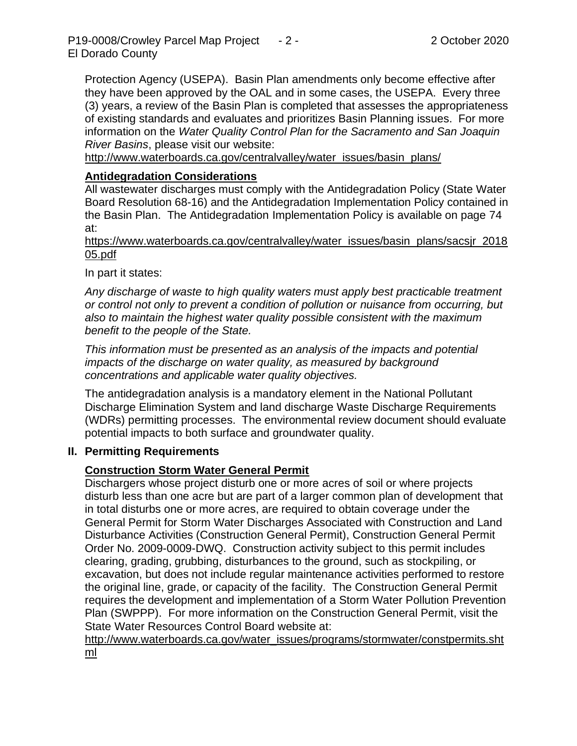Protection Agency (USEPA). Basin Plan amendments only become effective after they have been approved by the OAL and in some cases, the USEPA. Every three (3) years, a review of the Basin Plan is completed that assesses the appropriateness of existing standards and evaluates and prioritizes Basin Planning issues. For more information on the *Water Quality Control Plan for the Sacramento and San Joaquin River Basins*, please visit our website:

[http://www.waterboards.ca.gov/centralvalley/water\\_issues/basin\\_plans/](http://www.waterboards.ca.gov/centralvalley/water_issues/basin_plans/)

# **Antidegradation Considerations**

All wastewater discharges must comply with the Antidegradation Policy (State Water Board Resolution 68-16) and the Antidegradation Implementation Policy contained in the Basin Plan. The Antidegradation Implementation Policy is available on page 74 at:

https://www.waterboards.ca.gov/centralvalley/water\_issues/basin\_plans/sacsjr\_2018 05.pdf

In part it states:

*Any discharge of waste to high quality waters must apply best practicable treatment or control not only to prevent a condition of pollution or nuisance from occurring, but also to maintain the highest water quality possible consistent with the maximum benefit to the people of the State.*

*This information must be presented as an analysis of the impacts and potential impacts of the discharge on water quality, as measured by background concentrations and applicable water quality objectives.*

The antidegradation analysis is a mandatory element in the National Pollutant Discharge Elimination System and land discharge Waste Discharge Requirements (WDRs) permitting processes. The environmental review document should evaluate potential impacts to both surface and groundwater quality.

#### **II. Permitting Requirements**

# **Construction Storm Water General Permit**

Dischargers whose project disturb one or more acres of soil or where projects disturb less than one acre but are part of a larger common plan of development that in total disturbs one or more acres, are required to obtain coverage under the General Permit for Storm Water Discharges Associated with Construction and Land Disturbance Activities (Construction General Permit), Construction General Permit Order No. 2009-0009-DWQ. Construction activity subject to this permit includes clearing, grading, grubbing, disturbances to the ground, such as stockpiling, or excavation, but does not include regular maintenance activities performed to restore the original line, grade, or capacity of the facility. The Construction General Permit requires the development and implementation of a Storm Water Pollution Prevention Plan (SWPPP). For more information on the Construction General Permit, visit the State Water Resources Control Board website at:

[http://www.waterboards.ca.gov/water\\_issues/programs/stormwater/constpermits.sht](http://www.waterboards.ca.gov/water_issues/programs/stormwater/constpermits.shtml) [ml](http://www.waterboards.ca.gov/water_issues/programs/stormwater/constpermits.shtml)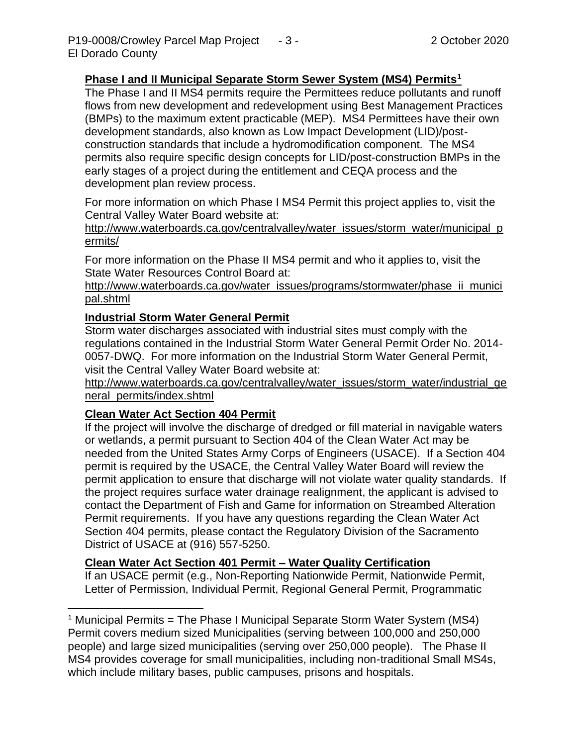# **Phase I and II Municipal Separate Storm Sewer System (MS4) Permits<sup>1</sup>**

The Phase I and II MS4 permits require the Permittees reduce pollutants and runoff flows from new development and redevelopment using Best Management Practices (BMPs) to the maximum extent practicable (MEP). MS4 Permittees have their own development standards, also known as Low Impact Development (LID)/postconstruction standards that include a hydromodification component. The MS4 permits also require specific design concepts for LID/post-construction BMPs in the early stages of a project during the entitlement and CEQA process and the development plan review process.

For more information on which Phase I MS4 Permit this project applies to, visit the Central Valley Water Board website at:

http://www.waterboards.ca.gov/centralvalley/water\_issues/storm\_water/municipal\_p ermits/

For more information on the Phase II MS4 permit and who it applies to, visit the State Water Resources Control Board at:

http://www.waterboards.ca.gov/water\_issues/programs/stormwater/phase\_ii\_munici pal.shtml

# **Industrial Storm Water General Permit**

Storm water discharges associated with industrial sites must comply with the regulations contained in the Industrial Storm Water General Permit Order No. 2014- 0057-DWQ. For more information on the Industrial Storm Water General Permit, visit the Central Valley Water Board website at:

http://www.waterboards.ca.gov/centralvalley/water\_issues/storm\_water/industrial\_ge neral\_permits/index.shtml

# **Clean Water Act Section 404 Permit**

If the project will involve the discharge of dredged or fill material in navigable waters or wetlands, a permit pursuant to Section 404 of the Clean Water Act may be needed from the United States Army Corps of Engineers (USACE). If a Section 404 permit is required by the USACE, the Central Valley Water Board will review the permit application to ensure that discharge will not violate water quality standards. If the project requires surface water drainage realignment, the applicant is advised to contact the Department of Fish and Game for information on Streambed Alteration Permit requirements. If you have any questions regarding the Clean Water Act Section 404 permits, please contact the Regulatory Division of the Sacramento District of USACE at (916) 557-5250.

# **Clean Water Act Section 401 Permit – Water Quality Certification**

If an USACE permit (e.g., Non-Reporting Nationwide Permit, Nationwide Permit, Letter of Permission, Individual Permit, Regional General Permit, Programmatic

<sup>&</sup>lt;sup>1</sup> Municipal Permits = The Phase I Municipal Separate Storm Water System (MS4) Permit covers medium sized Municipalities (serving between 100,000 and 250,000 people) and large sized municipalities (serving over 250,000 people). The Phase II MS4 provides coverage for small municipalities, including non-traditional Small MS4s, which include military bases, public campuses, prisons and hospitals.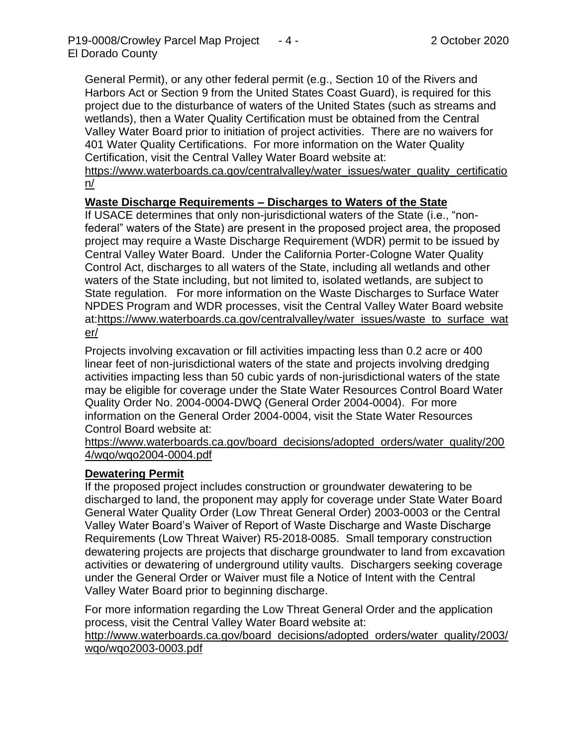General Permit), or any other federal permit (e.g., Section 10 of the Rivers and Harbors Act or Section 9 from the United States Coast Guard), is required for this project due to the disturbance of waters of the United States (such as streams and wetlands), then a Water Quality Certification must be obtained from the Central Valley Water Board prior to initiation of project activities. There are no waivers for 401 Water Quality Certifications. For more information on the Water Quality Certification, visit the Central Valley Water Board website at:

https://www.waterboards.ca.gov/centralvalley/water\_issues/water\_quality\_certificatio n/

# **Waste Discharge Requirements – Discharges to Waters of the State**

If USACE determines that only non-jurisdictional waters of the State (i.e., "nonfederal" waters of the State) are present in the proposed project area, the proposed project may require a Waste Discharge Requirement (WDR) permit to be issued by Central Valley Water Board. Under the California Porter-Cologne Water Quality Control Act, discharges to all waters of the State, including all wetlands and other waters of the State including, but not limited to, isolated wetlands, are subject to State regulation. For more information on the Waste Discharges to Surface Water NPDES Program and WDR processes, visit the Central Valley Water Board website at:https://www.waterboards.ca.gov/centralvalley/water\_issues/waste\_to\_surface\_wat er/

Projects involving excavation or fill activities impacting less than 0.2 acre or 400 linear feet of non-jurisdictional waters of the state and projects involving dredging activities impacting less than 50 cubic yards of non-jurisdictional waters of the state may be eligible for coverage under the State Water Resources Control Board Water Quality Order No. 2004-0004-DWQ (General Order 2004-0004). For more information on the General Order 2004-0004, visit the State Water Resources Control Board website at:

https://www.waterboards.ca.gov/board\_decisions/adopted\_orders/water\_quality/200 4/wqo/wqo2004-0004.pdf

#### **Dewatering Permit**

If the proposed project includes construction or groundwater dewatering to be discharged to land, the proponent may apply for coverage under State Water Board General Water Quality Order (Low Threat General Order) 2003-0003 or the Central Valley Water Board's Waiver of Report of Waste Discharge and Waste Discharge Requirements (Low Threat Waiver) R5-2018-0085. Small temporary construction dewatering projects are projects that discharge groundwater to land from excavation activities or dewatering of underground utility vaults. Dischargers seeking coverage under the General Order or Waiver must file a Notice of Intent with the Central Valley Water Board prior to beginning discharge.

For more information regarding the Low Threat General Order and the application process, visit the Central Valley Water Board website at:

http://www.waterboards.ca.gov/board decisions/adopted orders/water quality/2003/ wqo/wqo2003-0003.pdf